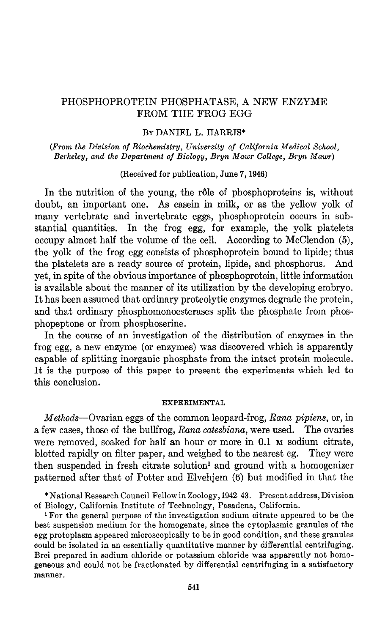# PHOSPHOPROTEIN PHOSPHATASE, A NEW ENZYME FROM THE FROG EGG

# BY DANIEL L. HARRIS\*

(From the Division of Biochemistry, University of California Medical School, Berkeley, and the Department of Biology, Bryn Mawr College, Bryn Mawr)

### (Received for publication, June 7, 1946)

In the nutrition of the young, the rôle of phosphoproteins is, without doubt, an important one. As casein in milk, or as the yellow yolk of many vertebrate and invertebrate eggs, phosphoprotein occurs in substantial quantities. In the frog egg, for example, the yolk platelets occupy almost half the volume of the cell. According to McClendon (5), the yolk of the frog egg consists of phosphoprotein bound to lipide; thus the platelets are a ready source of protein, lipide, and phosphorus. And yet, in spite of the obvious importance of phosphoprotein, little information is available about the manner of its utilization by the developing embryo. It has been assumed that ordinary proteolytic enzymes degrade the protein, and that ordinary phosphomonoesterases split the phosphate from phosphopeptone or from phosphoserine.

In the course of an investigation of the distribution of enzymes in the frog egg, a new enzyme (or enzymes) was discovered which is apparently capable of splitting inorganic phosphate from the intact protein molecule. It is the purpose of this paper to present the experiments which led to this conclusion.

#### EXPERIMENTAL

Methods-Ovarian eggs of the common leopard-frog, Rana pipiens, or, in a few cases, those of the bullfrog, Rana catesbiana, were used. The ovaries were removed, soaked for half an hour or more in  $0.1$  M sodium citrate, blotted rapidly on filter paper, and weighed to the nearest cg. They were then suspended in fresh citrate solution' and ground with a homogenizer patterned after that of Potter and Elvehjem (6) but modified in that the

\*National Research Council Fellow in Zoology, 194243. Present address, Division of Biology, California Institute of Technology, Pasadena, California.

<sup>1</sup> For the general purpose of the investigation sodium citrate appeared to be the best suspension medium for the homogenate, since the cytoplasmic granules of the egg protoplasm appeared microscopically to be in good condition, and these granules could be isolated in an essentially quantitative manner by differential centrifuging. bound be isolated in an essentially qualitative mailed by americant contridence general prepared in sourcin chronic or potassium chronic was apparently not four geneous and could not be fractionated by differential centrifuging in a satisfactory manner.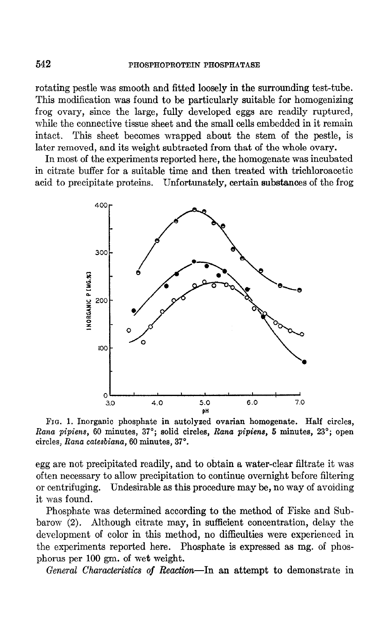rotating pestle was smooth and fitted loosely in the surrounding test-tube. This modification was found to be particularly suitable for homogenizing frog ovary, since the large, fully developed eggs are readily ruptured, while the connective tissue sheet and the small cells embedded in it remain intact. This sheet becomes wrapped about the stem of the pestle, is later removed, and its weight subtracted from that of the whole ovary.

In most of the experiments reported here, the homogenate was incubated in citrate buffer for a suitable time and then treated with trichloroacetic acid to precipitate proteins. Unfortunately, certain substances of the frog



FIG. 1. Inorganic phosphate in autolyeed ovarian homogenate. Half circles, Rana pipiens, 60 minutes, 37'; solid circles, Rana pipiens, 5 minutes, 23'; open circles, Rana catesbiana, 60 minutes, 37".

egg are not precipitated readily, and to obtain a water-clear filtrate it was often necessary to allow precipitation to continue overnight before filtering or centrifuging. Undesirable as this procedure may be, no way of avoiding it was found.

Phosphate was determined according to the method of Fiske and Subbarow (2). Although citrate may, in sufficient concentration, delay the development of color in this method, no difficulties were experienced in the experiments reported here. Phosphate is expressed as mg. of phosphorus per 100 gm. of wet weight.

General Characteristics of Reaction-In an attempt to demonstrate in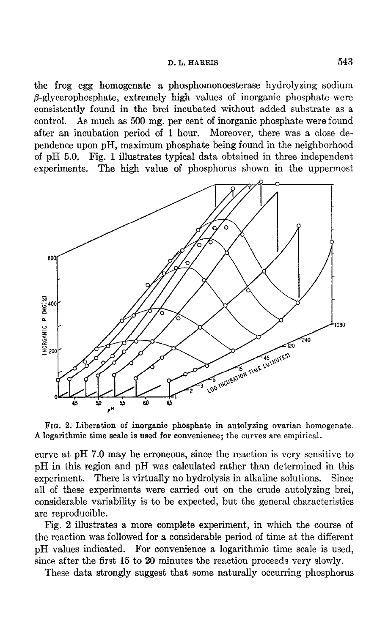the frog egg homogenate a phosphomonoesterase hydrolyzing sodium  $\beta$ -glycerophosphate, extremely high values of inorganic phosphate were consistently found in the brei incubated without added substrate as a control. As much as 500 mg. per cent of inorganic phosphate were found after an incubation period of 1 hour. Moreover, there was a close dependence upon pH, maximum phosphate being found in the neighborhood of pH 5.0. Fig. 1 illustrates typical data obtained in three independent experiments. The high value of phosphorus shown in the uppermost



FIG. 2. Liberation of inorganic phosphate in autolyzing ovarian homogenate. A logarithmic time scale is used for convenience; the curves are empirical.

curve at pH 7.0 may be erroneous, since the reaction is very sensitive to pH in this region and pH was calculated rather than determined in this experiment. There is virtually no hydrolysis in alkaline solutions. Since all of these experiments were carried out on the crude autolyzing brei, considerable variability is to be expected, but the general characteristics are reproducible.

Fig. 2 illustrates a more complete experiment, in which the course of the reaction was followed for a considerable period of time at the different pH values indicated. For convenience a logarithmic time scale is used, since after the first 15 to 20 minutes the reaction proceeds very slowly.

These data strongly suggest that some naturally occurring phosphorus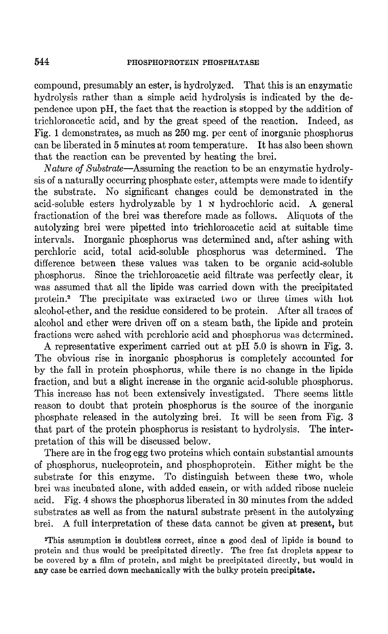compound, presumably an ester, is hydrolyzed. That this is an enzymatic hydrolysis rather than a simple acid hydrolysis is indicated by the dependence upon pH, the fact that the reaction is stopped by the addition of trichloroacetic acid, and by the great speed of the reaction. Indeed, as Fig. 1 demonstrates, as much as 250 mg. per cent of inorganic phosphorus can be liberated in 5 minutes at room temperature. It has also been shown that the reaction can be prevented by heating the brei.

Nature of Substrate—Assuming the reaction to be an enzymatic hydrolysis of a naturally occurring phosphate ester, attempts were made to identify the substrate. No significant changes could be demonstrated in the acid-soluble esters hydrolyzable by 1 N hydrochloric acid. A general fractionation of the brei was therefore made as follows. Aliquots of the autolyzing brei were pipetted into trichloroacetic acid at suitable time intervals. Inorganic phosphorus was determined and, after ashing with perchloric acid, total acid-soluble phosphorus was determined. The difference between these values was taken to be organic acid-soluble phosphorus. Since the trichloroacetic acid filtrate was perfectly clear, it was assumed that all the lipide was carried down with the precipitated protein.2 The precipitate was extracted two or three times with hot alcohol-ether, and the residue considered to be protein. After all traces of alcohol and ether were driven off on a steam bath, the lipide and protein fractions were ashed with perchloric acid and phosphorus was determined.

A representative experiment carried out at pH 5.0 is shown in Fig. 3. The obvious rise in inorganic phosphorus is completely accounted for by the fall in protein phosphorus, while there is no change in the lipide fraction, and but a slight increase in the organic acid-soluble phosphorus. This increase has not been extensively investigated. There seems little reason to doubt that protein phosphorus is the source of the inorganic phosphate released in the autolyzing brei. It will be seen from Fig. 3 that part of the protein phosphorus is resistant to hydrolysis. The interpretation of this will be discussed below.

There are in the frog egg two proteins which contain substantial amounts of phosphorus, nucleoprotein, and phosphoprotein. Either might be the substrate for this enzyme. To distinguish between these two, whole brei was incubated alone, with added casein, or with added ribose nucleic acid. Fig. 4 shows the phosphorus liberated in 30 minutes from the added substrates as well as from the natural substrate present in the autolyzing brei. A full interpretation of these data cannot be given at present, but

2This assumption is doubtless correct, since a good deal of lipide is bound to protein and thus would be precipitated directly. The free fat droplets appear to be covered by a film of protein, and might be precipitated directly, but would in any case be carried down mechanically with the bulky protein precipitate.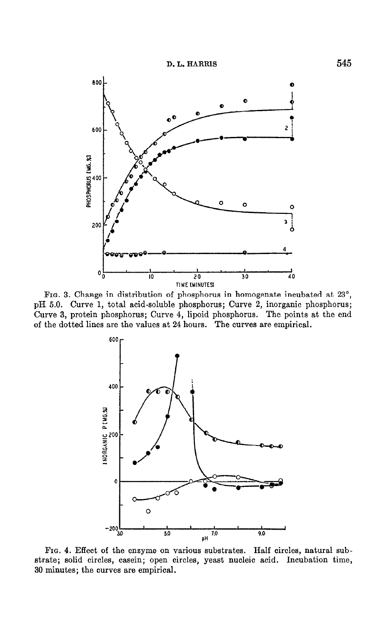



FIG. 3. Change in distribution of phosphorus in homogenate incubated at 23", pH 5.0. Curve 1, total acid-soluble phosphorus; Curve 2, inorganic phosphorus; Curve 3, protein phosphorus; Curve 4, lipoid phosphorus. The points at the end of the dotted lines are the values at 24 hours. The curves are empirical.



FIG. 4. Effect of the enzyme on various substrates. Half circles, natural substrate; solid circles, casein; open circles, yeast nucleic acid. Incubation time, 30 minutes; the curves are empirical.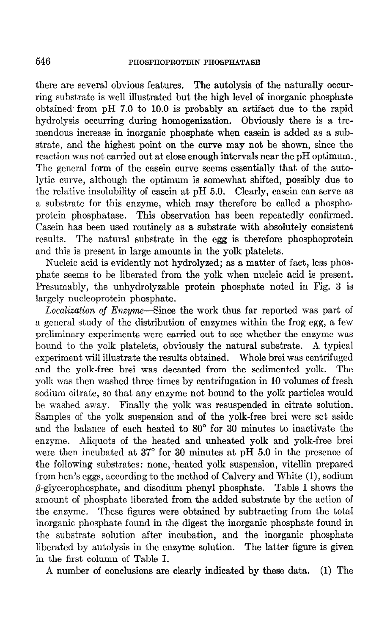there are several obvious features. The autolysis of the naturally occurring substrate is well illustrated but the high level of inorganic phosphate obtained from pH 7.0 to 10.0 is probably an artifact due to the rapid hydrolysis occurring during homogenization. Obviously there is a tremendous increase in inorganic phosphate when casein is added as a substrate, and the highest point on the curve may not be shown, since the reaction was not carried out at close enough intervals near the pH optimum.. The general form of the casein curve seems essentially that of the autolytic curve, although the optimum is somewhat shifted, possibly due to the relative insolubility of casein at pH 5.0. Clearly, casein can serve as a substrate for this enzyme, which may therefore be called a phosphoprotein phosphatase. This observation has been repeatedly confirmed. Casein has been used routinely as a substrate with absolutely consistent results. The natural substrate in the egg is therefore phosphoprotein and this is present in large amounts in the yolk platelets.

Nucleic acid is evidently not hydrolyzed; as a matter of fact, less phosphate seems to be liberated from the yolk when nucleic acid is present. Presumably, the unhydrolyzable protein phosphate noted in Fig. 3 is largely nucleoprotein phosphate.

Localization of Enzyme-Since the work thus far reported was part of a general study of the distribution of enzymes within the frog egg, a few preliminary experiments were carried out to see whether the enzyme was bound to the yolk platelets, obviously the natural substrate. A typical experiment will illustrate the results obtained. Whole brei was centrifuged and the yolk-free brei was decanted from the sedimented yolk. The yolk was then washed three times by centrifugation in 10 volumes of fresh sodium citrate, so that any enzyme not bound to the yolk particles would be washed away. Finally the yolk was resuspended in citrate solution. Samples of the yolk suspension and of the yolk-free brei were set aside and the balance of each heated to 80" for 30 minutes to inactivate the enzyme. Aliquots of the heated and unheated yolk and yolk-free brei were then incubated at  $37^{\circ}$  for 30 minutes at pH 5.0 in the presence of the following substrates: none, heated yolk suspension, vitellin prepared from hen's eggs, according to the method of Calvery and White (l), sodium  $\beta$ -glycerophosphate, and disodium phenyl phosphate. Table I shows the amount of phosphate liberated from the added substrate by the action of the enzyme. These figures were obtained by subtracting from the total inorganic phosphate found in the digest the inorganic phosphate found in the substrate solution after incubation, and the inorganic phosphate liberated by autolysis in the enzyme solution. The latter figure is given in the first column of Table I.

A number of conclusions are clearly indicated by these data. (1) The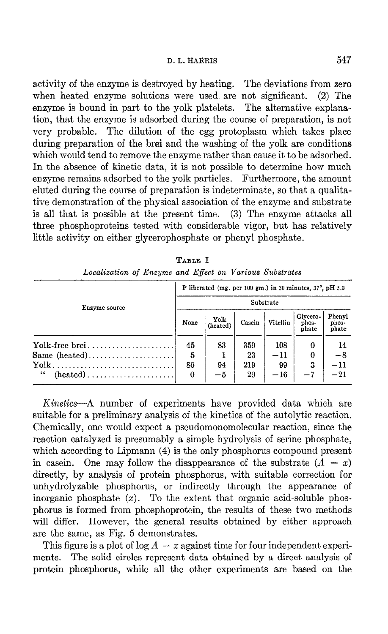### D. L. HARRIS 547

activity of the enzyme is destroyed by heating. The deviations from zero when heated enzyme solutions were used are not significant. (2) The enzyme is bound in part to the yolk platelets. The alternative explanation, that the enzyme is adsorbed during the course of preparation, is not very probable. The dilution of the egg protoplasm which takes place during preparation of the brei and the washing of the yolk are conditions which would tend to remove the enzyme rather than cause it to be adsorbed. In the absence of kinetic data, it is not possible to determine how much enzyme remains adsorbed to the yolk particles. Furthermore, the amount eluted during the course of preparation is indeterminate, so that a qualitative demonstration of the physical association of the enzyme and substrate is all that is possible at the present time. (3) The enzyme attacks all three phosphoproteins tested with considerable vigor, but has relatively little activity on either glycerophosphate or phenyl phosphate.

| Enzyme source | P liberated (mg. per 100 gm.) in 30 minutes, 37°, pH 5.0<br>Substrate |      |     |       |      |              |
|---------------|-----------------------------------------------------------------------|------|-----|-------|------|--------------|
|               |                                                                       |      |     |       |      |              |
|               | $\text{Yolk-free brei} \dots \dots \dots \dots \dots \dots \dots$     | 45   | 83  | 359   | 108  | 0            |
| Same $(head)$ | 5                                                                     |      | 23  | $-11$ | 0    | $-8$         |
|               | 86                                                                    | 94   | 219 | 99    | 3    | $^{\rm -11}$ |
| 11            | 0                                                                     | $-5$ | 29  | $-16$ | $-7$ | $-21$        |

TABLE I Localization of Enzyme and Effect on Various Substrates

Kinetics-A number of experiments have provided data which are suitable for a preliminary analysis of the kinetics of the autolytic reaction. Chemically, one would expect a pseudomonomolecular reaction, since the reaction catalyzed is presumably a simple hydrolysis of serine phosphate, which according to Lipmann (4) is the only phosphorus compound present in case in. One may follow the disappearance of the substrate  $(A - x)$ directly, by analysis of protein phosphorus, with suitable correction for unhydrolyzable phosphorus, or indirectly through the appearance of inorganic phosphate  $(x)$ . To the extent that organic acid-soluble phosphorus is formed from phosphoprotein, the results of these two methods will differ. However, the general results obtained by either approach are the same, as Fig. 5 demonstrates.

This figure is a plot of  $log A - x$  against time for four independent experiments. The solid circles represent data obtained by a direct analysis of protein phosphorus, while all the other experiments are based on the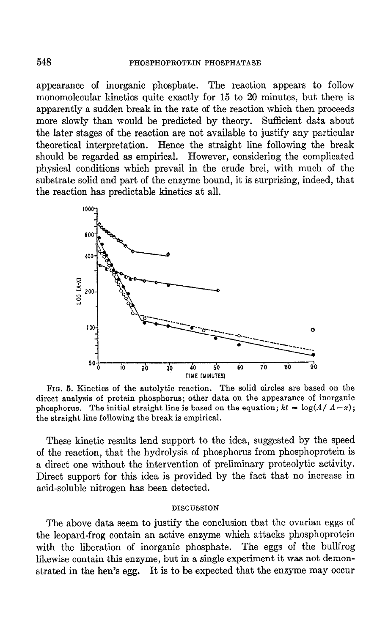### 548 **PHOSPHOPROTEIN PHOSPHATASE**

appearance of inorganic phosphate. The reaction appears to follow monomolecular kinetics quite exactly for 15 to 20 minutes, but there is apparently a sudden break in the rate of the reaction which then proceeds more slowly than would be predicted by theory. Sufficient data about the later stages of the reaction are not available to justify any particular theoretical interpretation. Hence the straight line following the break should be regarded as empirical. However, considering the complicated physical conditions which prevail in the crude brei, with much of the substrate solid and part of the enzyme bound, it is surprising, indeed, that the reaction has predictable kinetics at all.



FIG. 5. Kinetics of the autolytic reaction. The solid circles are based on the direct analysis of protein phosphorus; other data on the appearance of inorganic phosphorus. The initial straight line is based on the equation;  $kt = \log(A/A-x)$ ; the straight line following the break is empirical.

These kinetic results lend support to the idea, suggested by the speed of the reaction, that the hydrolysis of phosphorus from phosphoprotein is a direct one without the intervention of preliminary proteolytic activity. Direct support for this idea is provided by the fact that no increase in acid-soluble nitrogen has been detected.

#### DISCUSSION

The above data seem to justify the conclusion that the ovarian eggs of the leopard-frog contain an active enzyme which attacks phosphoprotein with the liberation of inorganic phosphate. The eggs of the bullfrog likewise contain this enzyme, but in a single experiment it was not demonstrated in the hen's egg. It is to be expected that the enzyme may occur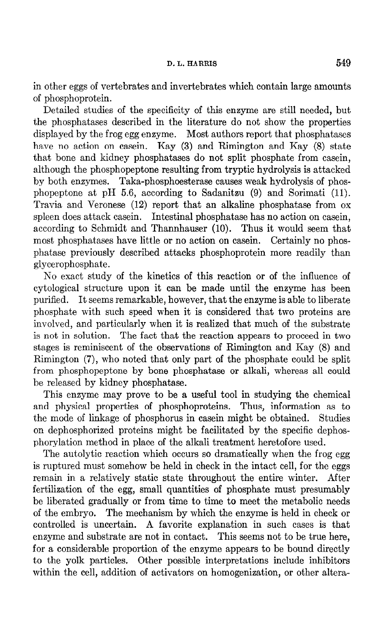# D. L. HARRIS 549

in other eggs of vertebrates and invertebrates which contain large amounts of phosphoprotein.

Detailed studies of the specificity of this enzyme are still needed, but the phosphatases described in the literature do not show the properties displayed by the frog egg enzyme. Most authors report that phosphatases have no action on casein. Kay (3) and Rimington and Kay (8) state that bone and kidney phosphatases do not split phosphate from casein, although the phosphopeptone resulting from tryptic hydrolysis is attacked by both enzymes. Taka-phosphoesterase causes weak hydrolysis of phosphopeptone at pH 5.6, according to Sadanitzu (9) and Sorimati (11). Travia and Veronese (12) report that an alkaline phosphatase from ox spleen does attack casein. Intestinal phosphatase has no action on casein, according to Schmidt and Thannhauser (10). Thus it would seem that most phosphatases have little or no action on casein. Certainly no phosphatase previously described attacks phosphoprotein more readily than glycerophosphate.

No exact study of the kinetics of this reaction or of the influence of cytological structure upon it can be made until the enzyme has been purified. It seems remarkable, however, that the enzyme is able to liberate phosphate with such speed when it is considered that two proteins are involved, and particularly when it is realized that much of the substrate is not in solution. The fact that the reaction appears to proceed in two stages is reminiscent of the observations of Rimington and Kay (8) and Rimington (7), who noted that only part of the phosphate could be split from phosphopeptone by bone phosphatase or alkali, whereas all could be released by kidney phosphatase.

This enzyme may prove to be a useful tool in studying the chemical and physical properties of phosphoproteins. Thus, information as to the mode of linkage of phosphorus in casein might be obtained. Studies on dephosphorized proteins might be facilitated by the specific dephosphorylation method in place of the alkali treatment heretofore used.

The autolytic reaction which occurs so dramatically when the frog egg is ruptured must somehow be held in check in the intact cell, for the eggs remain in a relatively static state throughout the entire winter. After fertilization of the egg, small quantities of phosphate must presumably be liberated gradually or from time to time to meet the metabolic needs of the embryo. The mechanism by which the enzyme is held in check or controlled is uncertain. A favorite explanation in such cases is that enzyme and substrate are not in contact. This seems not to be true here, for a considerable proportion of the enzyme appears to be bound directly to the yolk particles. Other possible interpretations include inhibitors within the cell, addition of activators on homogenization, or other altera